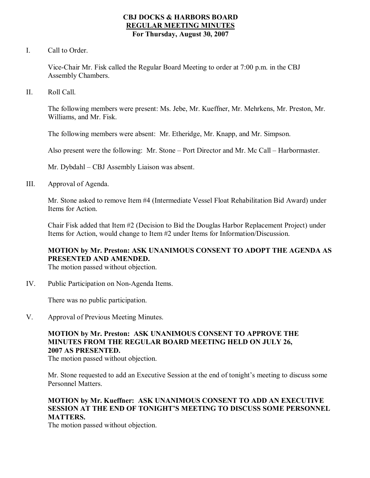#### **CBJ DOCKS & HARBORS BOARD REGULAR MEETING MINUTES For Thursday, August 30, 2007**

I. Call to Order.

Vice-Chair Mr. Fisk called the Regular Board Meeting to order at 7:00 p.m. in the CBJ Assembly Chambers.

II. Roll Call.

The following members were present: Ms. Jebe, Mr. Kueffner, Mr. Mehrkens, Mr. Preston, Mr. Williams, and Mr. Fisk.

The following members were absent: Mr. Etheridge, Mr. Knapp, and Mr. Simpson.

Also present were the following: Mr. Stone – Port Director and Mr. Mc Call – Harbormaster.

Mr. Dybdahl – CBJ Assembly Liaison was absent.

III. Approval of Agenda.

Mr. Stone asked to remove Item #4 (Intermediate Vessel Float Rehabilitation Bid Award) under Items for Action.

Chair Fisk added that Item #2 (Decision to Bid the Douglas Harbor Replacement Project) under Items for Action, would change to Item #2 under Items for Information/Discussion.

## **MOTION by Mr. Preston: ASK UNANIMOUS CONSENT TO ADOPT THE AGENDA AS PRESENTED AND AMENDED.**

The motion passed without objection.

IV. Public Participation on Non-Agenda Items.

There was no public participation.

V. Approval of Previous Meeting Minutes.

# **MOTION by Mr. Preston: ASK UNANIMOUS CONSENT TO APPROVE THE MINUTES FROM THE REGULAR BOARD MEETING HELD ON JULY 26, 2007 AS PRESENTED.**

The motion passed without objection.

Mr. Stone requested to add an Executive Session at the end of tonight's meeting to discuss some Personnel Matters.

#### **MOTION by Mr. Kueffner: ASK UNANIMOUS CONSENT TO ADD AN EXECUTIVE SESSION AT THE END OF TONIGHT'S MEETING TO DISCUSS SOME PERSONNEL MATTERS.**

The motion passed without objection.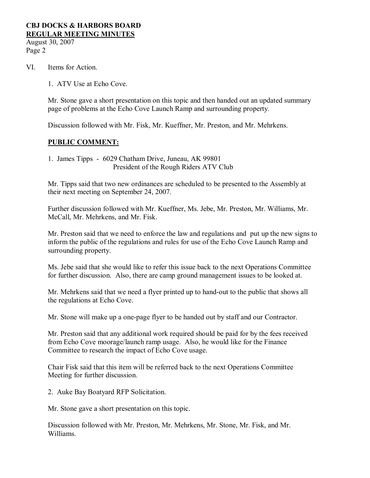August 30, 2007 Page 2

- VI. Items for Action.
	- 1. ATV Use at Echo Cove.

Mr. Stone gave a short presentation on this topic and then handed out an updated summary page of problems at the Echo Cove Launch Ramp and surrounding property.

Discussion followed with Mr. Fisk, Mr. Kueffner, Mr. Preston, and Mr. Mehrkens.

#### **PUBLIC COMMENT:**

1. James Tipps - 6029 Chatham Drive, Juneau, AK 99801 President of the Rough Riders ATV Club

Mr. Tipps said that two new ordinances are scheduled to be presented to the Assembly at their next meeting on September 24, 2007.

Further discussion followed with Mr. Kueffner, Ms. Jebe, Mr. Preston, Mr. Williams, Mr. McCall, Mr. Mehrkens, and Mr. Fisk.

Mr. Preston said that we need to enforce the law and regulations and put up the new signs to inform the public of the regulations and rules for use of the Echo Cove Launch Ramp and surrounding property.

Ms. Jebe said that she would like to refer this issue back to the next Operations Committee for further discussion. Also, there are camp ground management issues to be looked at.

Mr. Mehrkens said that we need a flyer printed up to hand-out to the public that shows all the regulations at Echo Cove.

Mr. Stone will make up a one-page flyer to be handed out by staff and our Contractor.

Mr. Preston said that any additional work required should be paid for by the fees received from Echo Cove moorage/launch ramp usage. Also, he would like for the Finance Committee to research the impact of Echo Cove usage.

Chair Fisk said that this item will be referred back to the next Operations Committee Meeting for further discussion.

2. Auke Bay Boatyard RFP Solicitation.

Mr. Stone gave a short presentation on this topic.

Discussion followed with Mr. Preston, Mr. Mehrkens, Mr. Stone, Mr. Fisk, and Mr. Williams.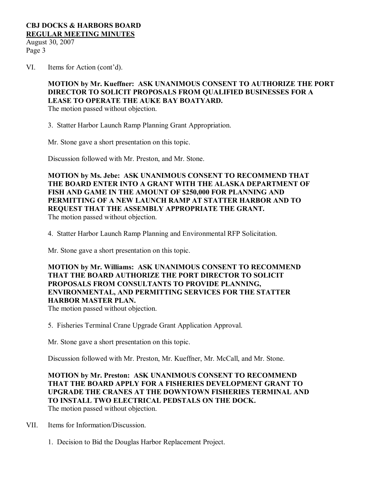August 30, 2007 Page 3

VI. Items for Action (cont'd).

## **MOTION by Mr. Kueffner: ASK UNANIMOUS CONSENT TO AUTHORIZE THE PORT DIRECTOR TO SOLICIT PROPOSALS FROM QUALIFIED BUSINESSES FOR A LEASE TO OPERATE THE AUKE BAY BOATYARD.**

The motion passed without objection.

3. Statter Harbor Launch Ramp Planning Grant Appropriation.

Mr. Stone gave a short presentation on this topic.

Discussion followed with Mr. Preston, and Mr. Stone.

**MOTION by Ms. Jebe: ASK UNANIMOUS CONSENT TO RECOMMEND THAT THE BOARD ENTER INTO A GRANT WITH THE ALASKA DEPARTMENT OF FISH AND GAME IN THE AMOUNT OF \$250,000 FOR PLANNING AND PERMITTING OF A NEW LAUNCH RAMP AT STATTER HARBOR AND TO REQUEST THAT THE ASSEMBLY APPROPRIATE THE GRANT.** The motion passed without objection.

4. Statter Harbor Launch Ramp Planning and Environmental RFP Solicitation.

Mr. Stone gave a short presentation on this topic.

#### **MOTION by Mr. Williams: ASK UNANIMOUS CONSENT TO RECOMMEND THAT THE BOARD AUTHORIZE THE PORT DIRECTOR TO SOLICIT PROPOSALS FROM CONSULTANTS TO PROVIDE PLANNING, ENVIRONMENTAL, AND PERMITTING SERVICES FOR THE STATTER HARBOR MASTER PLAN.**

The motion passed without objection.

5. Fisheries Terminal Crane Upgrade Grant Application Approval.

Mr. Stone gave a short presentation on this topic.

Discussion followed with Mr. Preston, Mr. Kueffner, Mr. McCall, and Mr. Stone.

**MOTION by Mr. Preston: ASK UNANIMOUS CONSENT TO RECOMMEND THAT THE BOARD APPLY FOR A FISHERIES DEVELOPMENT GRANT TO UPGRADE THE CRANES AT THE DOWNTOWN FISHERIES TERMINAL AND TO INSTALL TWO ELECTRICAL PEDSTALS ON THE DOCK.** The motion passed without objection.

- VII. Items for Information/Discussion.
	- 1. Decision to Bid the Douglas Harbor Replacement Project.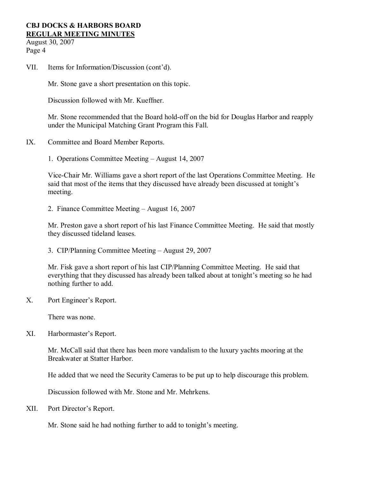August 30, 2007 Page 4

VII. Items for Information/Discussion (cont'd).

Mr. Stone gave a short presentation on this topic.

Discussion followed with Mr. Kueffner.

Mr. Stone recommended that the Board hold-off on the bid for Douglas Harbor and reapply under the Municipal Matching Grant Program this Fall.

- IX. Committee and Board Member Reports.
	- 1. Operations Committee Meeting August 14, 2007

Vice-Chair Mr. Williams gave a short report of the last Operations Committee Meeting. He said that most of the items that they discussed have already been discussed at tonight's meeting.

2. Finance Committee Meeting – August 16, 2007

Mr. Preston gave a short report of his last Finance Committee Meeting. He said that mostly they discussed tideland leases.

3. CIP/Planning Committee Meeting – August 29, 2007

Mr. Fisk gave a short report of his last CIP/Planning Committee Meeting. He said that everything that they discussed has already been talked about at tonight's meeting so he had nothing further to add.

X. Port Engineer's Report.

There was none.

XI. Harbormaster's Report.

Mr. McCall said that there has been more vandalism to the luxury yachts mooring at the Breakwater at Statter Harbor.

He added that we need the Security Cameras to be put up to help discourage this problem.

Discussion followed with Mr. Stone and Mr. Mehrkens.

XII. Port Director's Report.

Mr. Stone said he had nothing further to add to tonight's meeting.